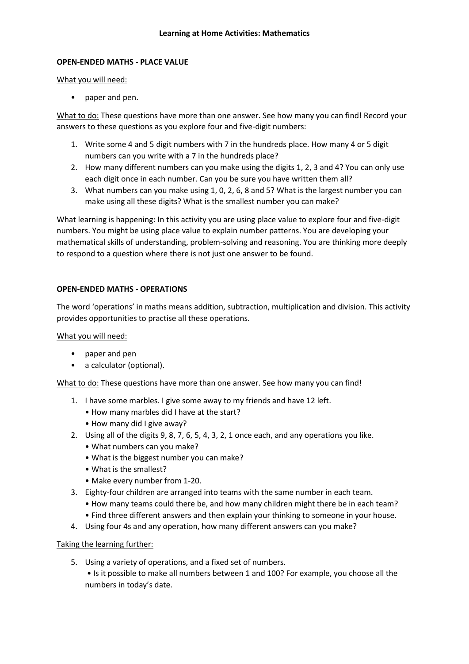### **OPEN-ENDED MATHS - PLACE VALUE**

What you will need:

• paper and pen.

What to do: These questions have more than one answer. See how many you can find! Record your answers to these questions as you explore four and five-digit numbers:

- 1. Write some 4 and 5 digit numbers with 7 in the hundreds place. How many 4 or 5 digit numbers can you write with a 7 in the hundreds place?
- 2. How many different numbers can you make using the digits 1, 2, 3 and 4? You can only use each digit once in each number. Can you be sure you have written them all?
- 3. What numbers can you make using 1, 0, 2, 6, 8 and 5? What is the largest number you can make using all these digits? What is the smallest number you can make?

What learning is happening: In this activity you are using place value to explore four and five-digit numbers. You might be using place value to explain number patterns. You are developing your mathematical skills of understanding, problem-solving and reasoning. You are thinking more deeply to respond to a question where there is not just one answer to be found.

### **OPEN-ENDED MATHS - OPERATIONS**

The word 'operations' in maths means addition, subtraction, multiplication and division. This activity provides opportunities to practise all these operations.

What you will need:

- paper and pen
- a calculator (optional).

What to do: These questions have more than one answer. See how many you can find!

- 1. I have some marbles. I give some away to my friends and have 12 left.
	- How many marbles did I have at the start?
	- How many did I give away?
- 2. Using all of the digits 9, 8, 7, 6, 5, 4, 3, 2, 1 once each, and any operations you like.
	- What numbers can you make?
	- What is the biggest number you can make?
	- What is the smallest?
	- Make every number from 1-20.
- 3. Eighty-four children are arranged into teams with the same number in each team.
	- How many teams could there be, and how many children might there be in each team?
	- Find three different answers and then explain your thinking to someone in your house.
- 4. Using four 4s and any operation, how many different answers can you make?

### Taking the learning further:

- 5. Using a variety of operations, and a fixed set of numbers.
	- Is it possible to make all numbers between 1 and 100? For example, you choose all the numbers in today's date.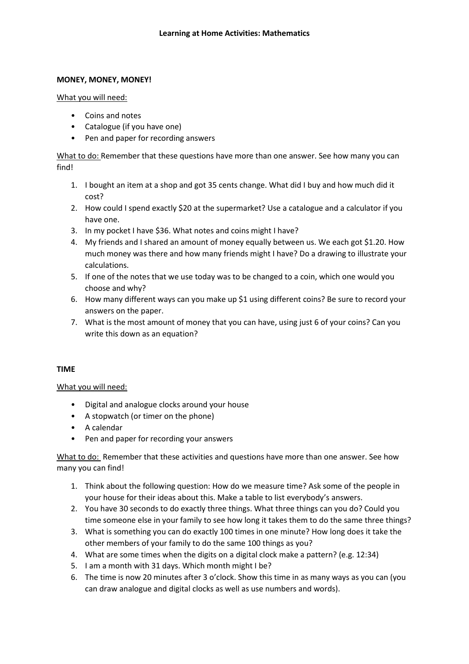# **MONEY, MONEY, MONEY!**

### What you will need:

- Coins and notes
- Catalogue (if you have one)
- Pen and paper for recording answers

What to do: Remember that these questions have more than one answer. See how many you can find!

- 1. I bought an item at a shop and got 35 cents change. What did I buy and how much did it cost?
- 2. How could I spend exactly \$20 at the supermarket? Use a catalogue and a calculator if you have one.
- 3. In my pocket I have \$36. What notes and coins might I have?
- 4. My friends and I shared an amount of money equally between us. We each got \$1.20. How much money was there and how many friends might I have? Do a drawing to illustrate your calculations.
- 5. If one of the notes that we use today was to be changed to a coin, which one would you choose and why?
- 6. How many different ways can you make up \$1 using different coins? Be sure to record your answers on the paper.
- 7. What is the most amount of money that you can have, using just 6 of your coins? Can you write this down as an equation?

### **TIME**

### What you will need:

- Digital and analogue clocks around your house
- A stopwatch (or timer on the phone)
- A calendar
- Pen and paper for recording your answers

What to do: Remember that these activities and questions have more than one answer. See how many you can find!

- 1. Think about the following question: How do we measure time? Ask some of the people in your house for their ideas about this. Make a table to list everybody's answers.
- 2. You have 30 seconds to do exactly three things. What three things can you do? Could you time someone else in your family to see how long it takes them to do the same three things?
- 3. What is something you can do exactly 100 times in one minute? How long does it take the other members of your family to do the same 100 things as you?
- 4. What are some times when the digits on a digital clock make a pattern? (e.g. 12:34)
- 5. I am a month with 31 days. Which month might I be?
- 6. The time is now 20 minutes after 3 o'clock. Show this time in as many ways as you can (you can draw analogue and digital clocks as well as use numbers and words).